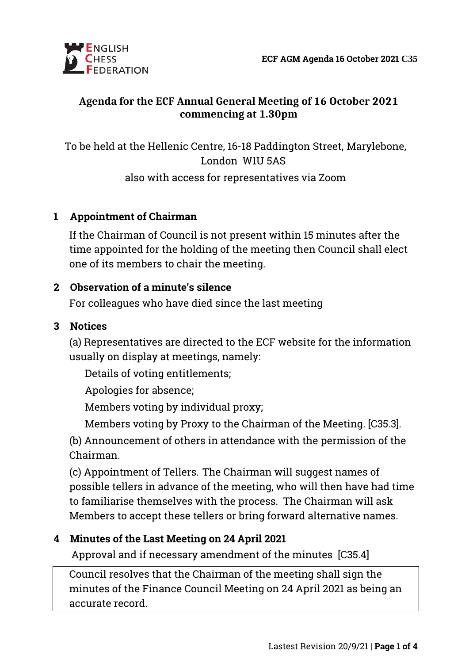

### **Agenda for the ECF Annual General Meeting of 16 October 2021 commencing at 1.30pm**

To be held at the Hellenic Centre, 16-18 Paddington Street, Marylebone, London W1U 5AS

also with access for representatives via Zoom

#### **1 Appointment of Chairman**

If the Chairman of Council is not present within 15 minutes after the time appointed for the holding of the meeting then Council shall elect one of its members to chair the meeting.

# **2 Observation of a minute's silence**

For colleagues who have died since the last meeting

#### **3 Notices**

(a) Representatives are directed to the ECF website for the information usually on display at meetings, namely:

Details of voting entitlements;

Apologies for absence;

Members voting by individual proxy;

Members voting by Proxy to the Chairman of the Meeting. [C35.3].

(b) Announcement of others in attendance with the permission of the Chairman.

(c) Appointment of Tellers. The Chairman will suggest names of possible tellers in advance of the meeting, who will then have had time to familiarise themselves with the process. The Chairman will ask Members to accept these tellers or bring forward alternative names.

# **4 Minutes of the Last Meeting on 24 April 2021**

Approval and if necessary amendment of the minutes [C35.4]

Council resolves that the Chairman of the meeting shall sign the minutes of the Finance Council Meeting on 24 April 2021 as being an accurate record.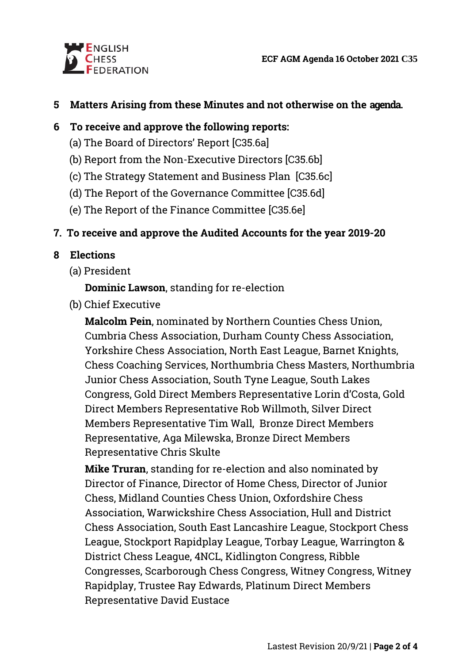

### **5 Matters Arising from these Minutes and not otherwise on the agenda.**

### **6 To receive and approve the following reports:**

- (a) The Board of Directors' Report [C35.6a]
- (b) Report from the Non-Executive Directors [C35.6b]
- (c) The Strategy Statement and Business Plan [C35.6c]
- (d) The Report of the Governance Committee [C35.6d]
- (e) The Report of the Finance Committee [C35.6e]

# **7. To receive and approve the Audited Accounts for the year 2019-20**

# **8 Elections**

(a) President

# **Dominic Lawson**, standing for re-election

(b) Chief Executive

**Malcolm Pein**, nominated by Northern Counties Chess Union, Cumbria Chess Association, Durham County Chess Association, Yorkshire Chess Association, North East League, Barnet Knights, Chess Coaching Services, Northumbria Chess Masters, Northumbria Junior Chess Association, South Tyne League, South Lakes Congress, Gold Direct Members Representative Lorin d'Costa, Gold Direct Members Representative Rob Willmoth, Silver Direct Members Representative Tim Wall, Bronze Direct Members Representative, Aga Milewska, Bronze Direct Members Representative Chris Skulte

**Mike Truran**, standing for re-election and also nominated by Director of Finance, Director of Home Chess, Director of Junior Chess, Midland Counties Chess Union, Oxfordshire Chess Association, Warwickshire Chess Association, Hull and District Chess Association, South East Lancashire League, Stockport Chess League, Stockport Rapidplay League, Torbay League, Warrington & District Chess League, 4NCL, Kidlington Congress, Ribble Congresses, Scarborough Chess Congress, Witney Congress, Witney Rapidplay, Trustee Ray Edwards, Platinum Direct Members Representative David Eustace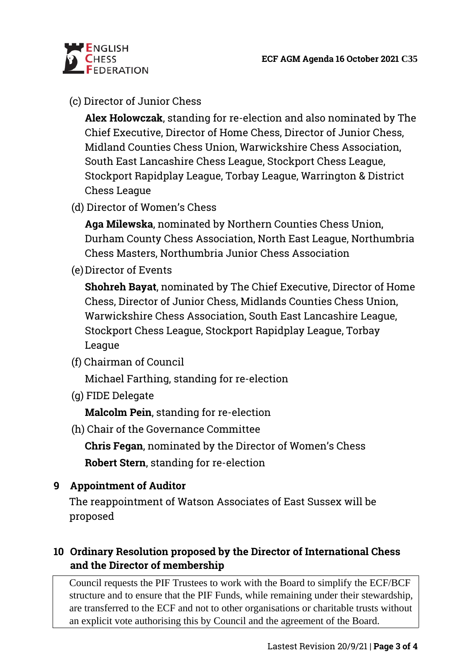

### (c) Director of Junior Chess

**Alex Holowczak**, standing for re-election and also nominated by The Chief Executive, Director of Home Chess, Director of Junior Chess, Midland Counties Chess Union, Warwickshire Chess Association, South East Lancashire Chess League, Stockport Chess League, Stockport Rapidplay League, Torbay League, Warrington & District Chess League

(d) Director of Women's Chess

**Aga Milewska**, nominated by Northern Counties Chess Union, Durham County Chess Association, North East League, Northumbria Chess Masters, Northumbria Junior Chess Association

(e)Director of Events

**Shohreh Bayat**, nominated by The Chief Executive, Director of Home Chess, Director of Junior Chess, Midlands Counties Chess Union, Warwickshire Chess Association, South East Lancashire League, Stockport Chess League, Stockport Rapidplay League, Torbay League

(f) Chairman of Council

Michael Farthing, standing for re-election

(g) FIDE Delegate

**Malcolm Pein**, standing for re-election

(h) Chair of the Governance Committee

**Chris Fegan**, nominated by the Director of Women's Chess **Robert Stern**, standing for re-election

#### **9 Appointment of Auditor**

The reappointment of Watson Associates of East Sussex will be proposed

### **10 Ordinary Resolution proposed by the Director of International Chess and the Director of membership**

Council requests the PIF Trustees to work with the Board to simplify the ECF/BCF structure and to ensure that the PIF Funds, while remaining under their stewardship, are transferred to the ECF and not to other organisations or charitable trusts without an explicit vote authorising this by Council and the agreement of the Board.